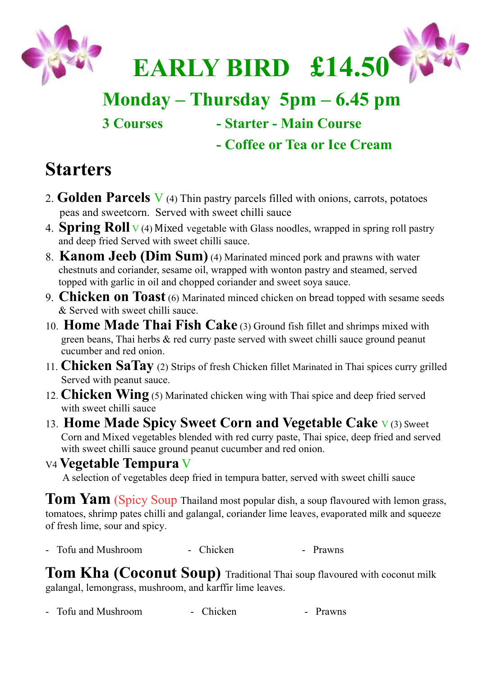

# **Monday – Thursday 5pm – 6.45 pm**

**3 Courses - Starter - Main Course**

**- Coffee or Tea or Ice Cream**

## **Starters**

- 2. **Golden Parcels** V (4) Thin pastry parcels filled with onions, carrots, potatoes peas and sweetcorn. Served with sweet chilli sauce
- 4. **Spring Roll** <sup>V</sup> (4) Mixed vegetable with Glass noodles, wrapped in spring roll pastry and deep fried Served with sweet chilli sauce.
- 8. **Kanom Jeeb (Dim Sum)** (4) Marinated minced pork and prawns with water chestnuts and coriander, sesame oil, wrapped with wonton pastry and steamed, served topped with garlic in oil and chopped coriander and sweet soya sauce.
- 9. **Chicken on Toast** (6) Marinated minced chicken on bread topped with sesame seeds & Served with sweet chilli sauce.
- 10. **Home Made Thai Fish Cake** (3) Ground fish fillet and shrimps mixed with green beans, Thai herbs & red curry paste served with sweet chilli sauce ground peanut cucumber and red onion.
- 11. **Chicken SaTay** (2) Strips of fresh Chicken fillet Marinated in Thai spices curry grilled Served with peanut sauce.
- 12. **Chicken Wing** (5) Marinated chicken wing with Thai spice and deep fried served with sweet chilli sauce
- 13. **Home Made Spicy Sweet Corn and Vegetable Cake** <sup>V</sup> (3) Sweet Corn and Mixed vegetables blended with red curry paste, Thai spice, deep fried and served with sweet chilli sauce ground peanut cucumber and red onion.

V4 **Vegetable Tempura** V A selection of vegetables deep fried in tempura batter, served with sweet chilli sauce

Tom Yam (Spicy Soup Thailand most popular dish, a soup flavoured with lemon grass, tomatoes, shrimp pates chilli and galangal, coriander lime leaves, evaporated milk and squeeze of fresh lime, sour and spicy.

- Tofu and Mushroom - Chicken - Prawns

**Tom Kha (Coconut Soup)** Traditional Thai soup flavoured with coconut milk galangal, lemongrass, mushroom, and karffir lime leaves.

- Tofu and Mushroom - Chicken - Prawns